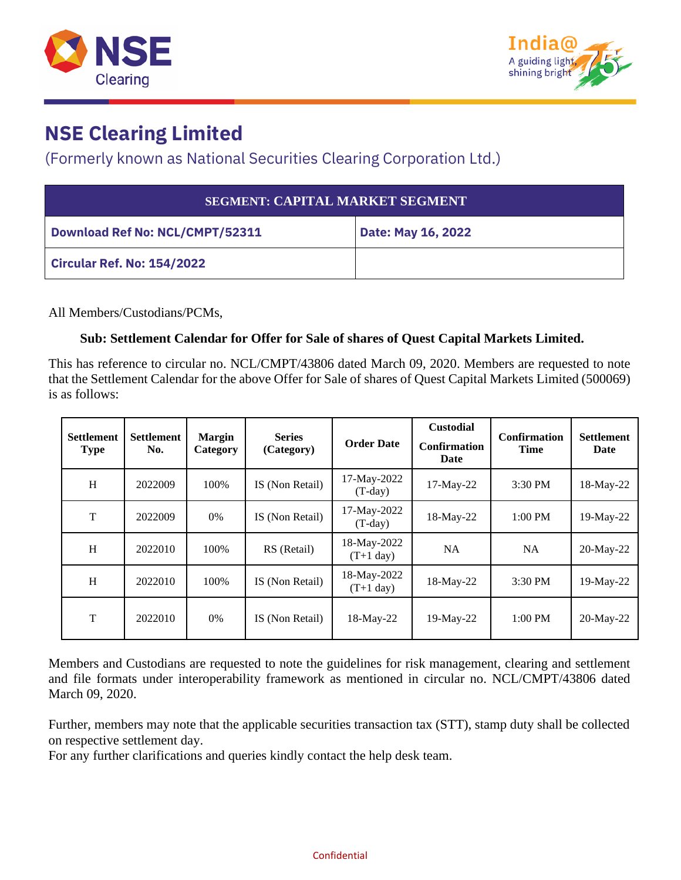



## **NSE Clearing Limited**

## (Formerly known as National Securities Clearing Corporation Ltd.)

| <b>SEGMENT: CAPITAL MARKET SEGMENT</b> |                    |  |  |  |  |
|----------------------------------------|--------------------|--|--|--|--|
| <b>Download Ref No: NCL/CMPT/52311</b> | Date: May 16, 2022 |  |  |  |  |
| Circular Ref. No: 154/2022             |                    |  |  |  |  |

All Members/Custodians/PCMs,

## **Sub: Settlement Calendar for Offer for Sale of shares of Quest Capital Markets Limited.**

This has reference to circular no. NCL/CMPT/43806 dated March 09, 2020. Members are requested to note that the Settlement Calendar for the above Offer for Sale of shares of Quest Capital Markets Limited (500069) is as follows:

| <b>Settlement</b><br><b>Type</b> | <b>Settlement</b><br>No. | <b>Margin</b><br>Category | <b>Series</b><br>(Category) | <b>Order Date</b>           | <b>Custodial</b><br><b>Confirmation</b><br>Date | <b>Confirmation</b><br><b>Time</b> | <b>Settlement</b><br><b>Date</b> |
|----------------------------------|--------------------------|---------------------------|-----------------------------|-----------------------------|-------------------------------------------------|------------------------------------|----------------------------------|
| H                                | 2022009                  | 100%                      | IS (Non Retail)             | 17-May-2022<br>$(T-day)$    | 17-May-22                                       | 3:30 PM                            | 18-May-22                        |
| T                                | 2022009                  | 0%                        | IS (Non Retail)             | 17-May-2022<br>$(T-day)$    | 18-May-22                                       | $1:00$ PM                          | $19$ -May-22                     |
| H                                | 2022010                  | 100%                      | RS (Retail)                 | 18-May-2022<br>$(T+1)$ day) | <b>NA</b>                                       | <b>NA</b>                          | 20-May-22                        |
| H                                | 2022010                  | 100%                      | IS (Non Retail)             | 18-May-2022<br>$(T+1)$ day) | 18-May-22                                       | 3:30 PM                            | 19-May-22                        |
| T                                | 2022010                  | 0%                        | IS (Non Retail)             | 18-May-22                   | 19-May-22                                       | $1:00$ PM                          | 20-May-22                        |

Members and Custodians are requested to note the guidelines for risk management, clearing and settlement and file formats under interoperability framework as mentioned in circular no. NCL/CMPT/43806 dated March 09, 2020.

Further, members may note that the applicable securities transaction tax (STT), stamp duty shall be collected on respective settlement day.

For any further clarifications and queries kindly contact the help desk team.